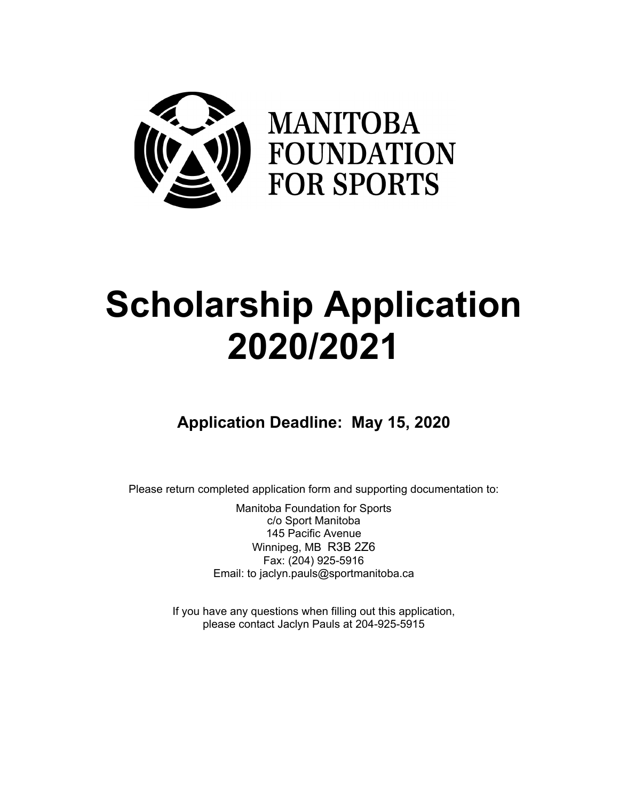

# **Scholarship Application 2020/2021**

### **Application Deadline: May 15, 2020**

Please return completed application form and supporting documentation to:

Manitoba Foundation for Sports c/o Sport Manitoba 145 Pacific Avenue Winnipeg, MB R3B 2Z6 Fax: (204) 925-5916 Email: to jaclyn.pauls@sportmanitoba.ca

If you have any questions when filling out this application, please contact Jaclyn Pauls at 204-925-5915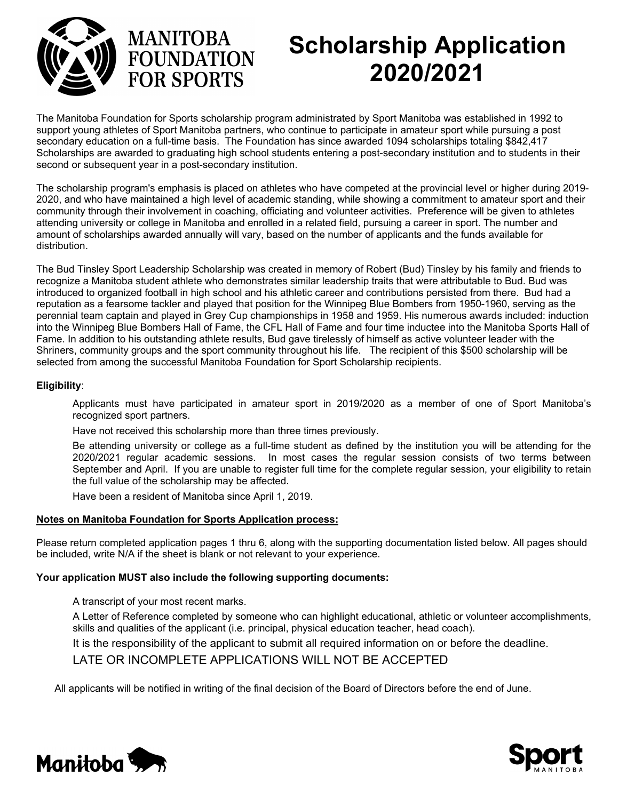



## **Scholarship Application 2020/2021**

The Manitoba Foundation for Sports scholarship program administrated by Sport Manitoba was established in 1992 to support young athletes of Sport Manitoba partners, who continue to participate in amateur sport while pursuing a post secondary education on a full-time basis. The Foundation has since awarded 1094 scholarships totaling \$842,417 Scholarships are awarded to graduating high school students entering a post-secondary institution and to students in their second or subsequent year in a post-secondary institution.

The scholarship program's emphasis is placed on athletes who have competed at the provincial level or higher during 2019- 2020, and who have maintained a high level of academic standing, while showing a commitment to amateur sport and their community through their involvement in coaching, officiating and volunteer activities. Preference will be given to athletes attending university or college in Manitoba and enrolled in a related field, pursuing a career in sport. The number and amount of scholarships awarded annually will vary, based on the number of applicants and the funds available for distribution.

The Bud Tinsley Sport Leadership Scholarship was created in memory of Robert (Bud) Tinsley by his family and friends to recognize a Manitoba student athlete who demonstrates similar leadership traits that were attributable to Bud. Bud was introduced to organized football in high school and his athletic career and contributions persisted from there. Bud had a reputation as a fearsome tackler and played that position for the Winnipeg Blue Bombers from 1950-1960, serving as the perennial team captain and played in Grey Cup championships in 1958 and 1959. His numerous awards included: induction into the Winnipeg Blue Bombers Hall of Fame, the CFL Hall of Fame and four time inductee into the Manitoba Sports Hall of Fame. In addition to his outstanding athlete results, Bud gave tirelessly of himself as active volunteer leader with the Shriners, community groups and the sport community throughout his life. The recipient of this \$500 scholarship will be selected from among the successful Manitoba Foundation for Sport Scholarship recipients.

#### **Eligibility**:

Applicants must have participated in amateur sport in 2019/2020 as a member of one of Sport Manitoba's recognized sport partners.

Have not received this scholarship more than three times previously.

Be attending university or college as a full-time student as defined by the institution you will be attending for the 2020/2021 regular academic sessions. In most cases the regular session consists of two terms between September and April. If you are unable to register full time for the complete regular session, your eligibility to retain the full value of the scholarship may be affected.

Have been a resident of Manitoba since April 1, 2019.

#### **Notes on Manitoba Foundation for Sports Application process:**

Please return completed application pages 1 thru 6, along with the supporting documentation listed below. All pages should be included, write N/A if the sheet is blank or not relevant to your experience.

#### **Your application MUST also include the following supporting documents:**

A transcript of your most recent marks.

A Letter of Reference completed by someone who can highlight educational, athletic or volunteer accomplishments, skills and qualities of the applicant (i.e. principal, physical education teacher, head coach).

It is the responsibility of the applicant to submit all required information on or before the deadline.

#### LATE OR INCOMPLETE APPLICATIONS WILL NOT BE ACCEPTED

All applicants will be notified in writing of the final decision of the Board of Directors before the end of June.



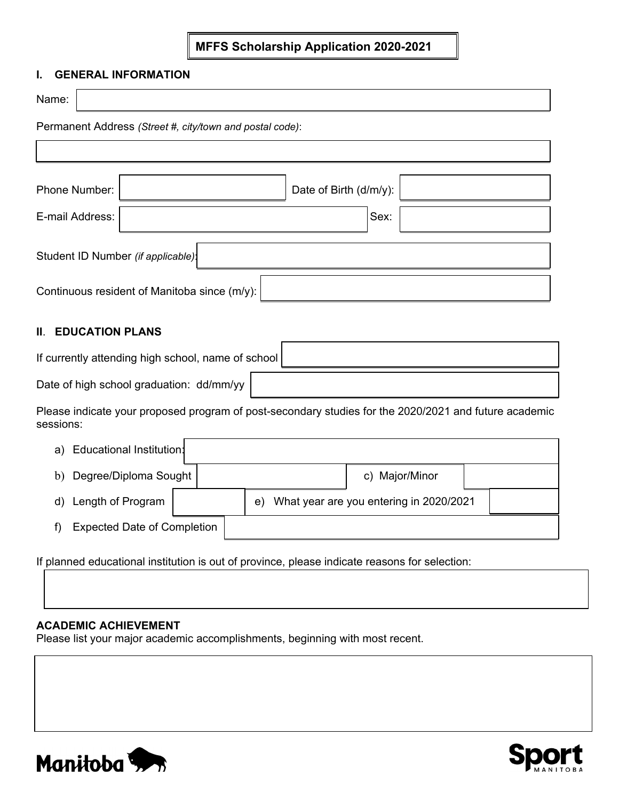#### **MFFS Scholarship Application 2020-2021**

#### **I. GENERAL INFORMATION**

| Name:                                                    |                                                    |                        |  |  |  |  |  |  |  |  |  |
|----------------------------------------------------------|----------------------------------------------------|------------------------|--|--|--|--|--|--|--|--|--|
| Permanent Address (Street #, city/town and postal code): |                                                    |                        |  |  |  |  |  |  |  |  |  |
|                                                          |                                                    |                        |  |  |  |  |  |  |  |  |  |
|                                                          |                                                    |                        |  |  |  |  |  |  |  |  |  |
| Phone Number:                                            |                                                    | Date of Birth (d/m/y): |  |  |  |  |  |  |  |  |  |
| E-mail Address:                                          |                                                    | Sex:                   |  |  |  |  |  |  |  |  |  |
| Student ID Number (if applicable):                       |                                                    |                        |  |  |  |  |  |  |  |  |  |
| Continuous resident of Manitoba since (m/y):             |                                                    |                        |  |  |  |  |  |  |  |  |  |
| Ш.                                                       | <b>EDUCATION PLANS</b>                             |                        |  |  |  |  |  |  |  |  |  |
|                                                          | If currently attending high school, name of school |                        |  |  |  |  |  |  |  |  |  |

Date of high school graduation: dd/mm/yy

Please indicate your proposed program of post-secondary studies for the 2020/2021 and future academic sessions:

| a) | Educational Institution:           |  |    |                                         |  |
|----|------------------------------------|--|----|-----------------------------------------|--|
| b) | Degree/Diploma Sought              |  |    | c) Major/Minor                          |  |
| d) | Length of Program                  |  | e) | What year are you entering in 2020/2021 |  |
|    | <b>Expected Date of Completion</b> |  |    |                                         |  |

If planned educational institution is out of province, please indicate reasons for selection:

#### **ACADEMIC ACHIEVEMENT**

Please list your major academic accomplishments, beginning with most recent.



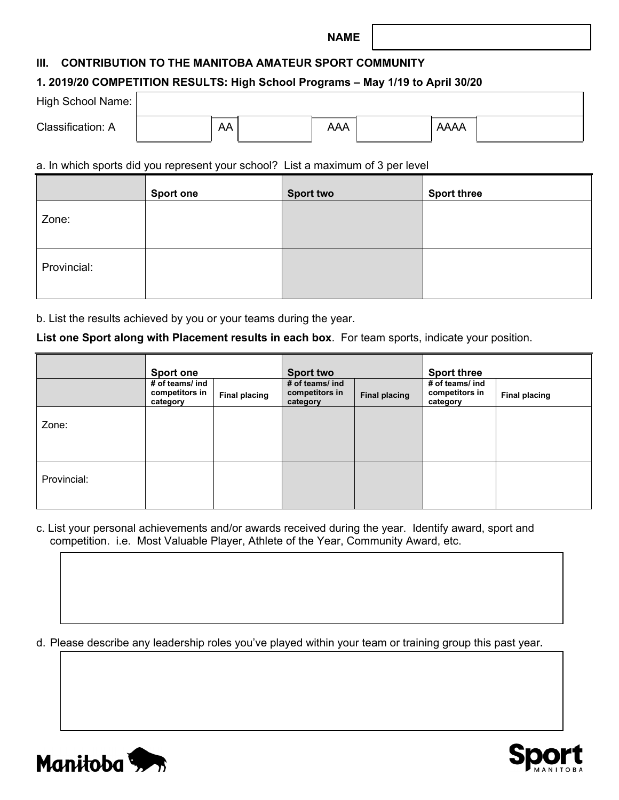#### **NAME**

#### **III. CONTRIBUTION TO THE MANITOBA AMATEUR SPORT COMMUNITY**

#### **1. 2019/20 COMPETITION RESULTS: High School Programs – May 1/19 to April 30/20**

| High School Name: |    |     |             |  |
|-------------------|----|-----|-------------|--|
| Classification: A | AA | AAA | <b>AAAA</b> |  |

#### a. In which sports did you represent your school? List a maximum of 3 per level

|             | <b>Sport one</b> | <b>Sport two</b> | <b>Sport three</b> |
|-------------|------------------|------------------|--------------------|
| Zone:       |                  |                  |                    |
| Provincial: |                  |                  |                    |

b. List the results achieved by you or your teams during the year.

**List one Sport along with Placement results in each box**. For team sports, indicate your position.

|             | <b>Sport one</b>                              |                      | <b>Sport two</b>                              |                      | <b>Sport three</b>                            |                      |  |
|-------------|-----------------------------------------------|----------------------|-----------------------------------------------|----------------------|-----------------------------------------------|----------------------|--|
|             | # of teams/ ind<br>competitors in<br>category | <b>Final placing</b> | # of teams/ ind<br>competitors in<br>category | <b>Final placing</b> | # of teams/ ind<br>competitors in<br>category | <b>Final placing</b> |  |
| Zone:       |                                               |                      |                                               |                      |                                               |                      |  |
| Provincial: |                                               |                      |                                               |                      |                                               |                      |  |

c. List your personal achievements and/or awards received during the year. Identify award, sport and competition. i.e.Most Valuable Player, Athlete of the Year, Community Award, etc.

d. Please describe any leadership roles you've played within your team or training group this past year**.** 



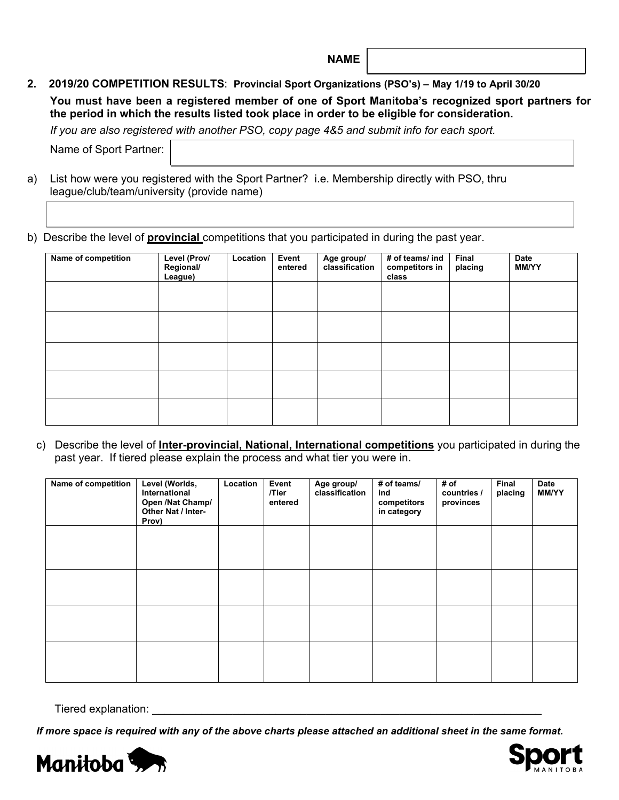**NAME**

**2. 2019/20 COMPETITION RESULTS**: **Provincial Sport Organizations (PSO's) – May 1/19 to April 30/20**

**You must have been a registered member of one of Sport Manitoba's recognized sport partners for the period in which the results listed took place in order to be eligible for consideration.**

*If you are also registered with another PSO, copy page 4&5 and submit info for each sport.*

Name of Sport Partner:

a) List how were you registered with the Sport Partner? i.e. Membership directly with PSO, thru league/club/team/university (provide name)

b) Describe the level of **provincial** competitions that you participated in during the past year.

| Name of competition | Level (Prov/<br>Regional/<br>League) | Location | Event<br>entered | Age group/<br>classification | # of teams/ ind<br>competitors in<br>class | Final<br>placing | <b>Date</b><br><b>MM/YY</b> |
|---------------------|--------------------------------------|----------|------------------|------------------------------|--------------------------------------------|------------------|-----------------------------|
|                     |                                      |          |                  |                              |                                            |                  |                             |
|                     |                                      |          |                  |                              |                                            |                  |                             |
|                     |                                      |          |                  |                              |                                            |                  |                             |
|                     |                                      |          |                  |                              |                                            |                  |                             |
|                     |                                      |          |                  |                              |                                            |                  |                             |

c) Describe the level of **Inter-provincial, National, International competitions** you participated in during the past year. If tiered please explain the process and what tier you were in.

| Name of competition | Level (Worlds,<br>International<br>Open /Nat Champ/<br>Other Nat / Inter-<br>Prov) | Location | Event<br>/Tier<br>entered | Age group/<br>classification | # of teams/<br>ind<br>competitors<br>in category | # of<br>countries /<br>provinces | Final<br>placing | <b>Date</b><br><b>MM/YY</b> |
|---------------------|------------------------------------------------------------------------------------|----------|---------------------------|------------------------------|--------------------------------------------------|----------------------------------|------------------|-----------------------------|
|                     |                                                                                    |          |                           |                              |                                                  |                                  |                  |                             |
|                     |                                                                                    |          |                           |                              |                                                  |                                  |                  |                             |
|                     |                                                                                    |          |                           |                              |                                                  |                                  |                  |                             |
|                     |                                                                                    |          |                           |                              |                                                  |                                  |                  |                             |

Tiered explanation:

*If more space is required with any of the above charts please attached an additional sheet in the same format.*



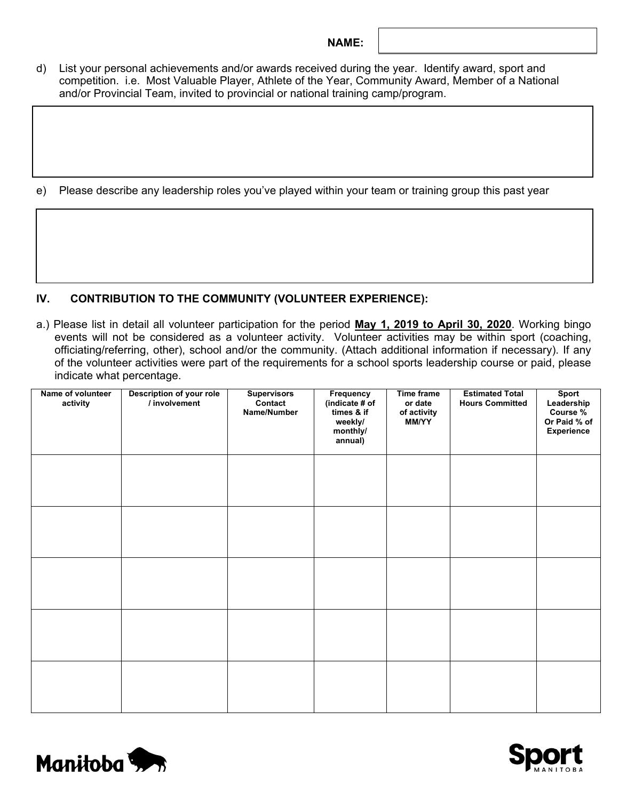#### **NAME:**

d) List your personal achievements and/or awards received during the year. Identify award, sport and competition. i.e.Most Valuable Player, Athlete of the Year, Community Award, Member of a National and/or Provincial Team, invited to provincial or national training camp/program.

e) Please describe any leadership roles you've played within your team or training group this past year

#### **IV. CONTRIBUTION TO THE COMMUNITY (VOLUNTEER EXPERIENCE):**

a.) Please list in detail all volunteer participation for the period **May 1, 2019 to April 30, 2020**. Working bingo events will not be considered as a volunteer activity. Volunteer activities may be within sport (coaching, officiating/referring, other), school and/or the community. (Attach additional information if necessary). If any of the volunteer activities were part of the requirements for a school sports leadership course or paid, please indicate what percentage.

| Name of volunteer<br>activity | Description of your role<br>/ involvement | <b>Supervisors</b><br>Contact<br>Name/Number | Frequency<br>(indicate # of<br>times & if<br>weekly/<br>monthly/<br>annual) | Time frame<br>or date<br>of activity<br>MM/YY | <b>Estimated Total</b><br><b>Hours Committed</b> | Sport<br>Leadership<br>Course %<br>Or Paid % of<br><b>Experience</b> |
|-------------------------------|-------------------------------------------|----------------------------------------------|-----------------------------------------------------------------------------|-----------------------------------------------|--------------------------------------------------|----------------------------------------------------------------------|
|                               |                                           |                                              |                                                                             |                                               |                                                  |                                                                      |
|                               |                                           |                                              |                                                                             |                                               |                                                  |                                                                      |
|                               |                                           |                                              |                                                                             |                                               |                                                  |                                                                      |
|                               |                                           |                                              |                                                                             |                                               |                                                  |                                                                      |
|                               |                                           |                                              |                                                                             |                                               |                                                  |                                                                      |